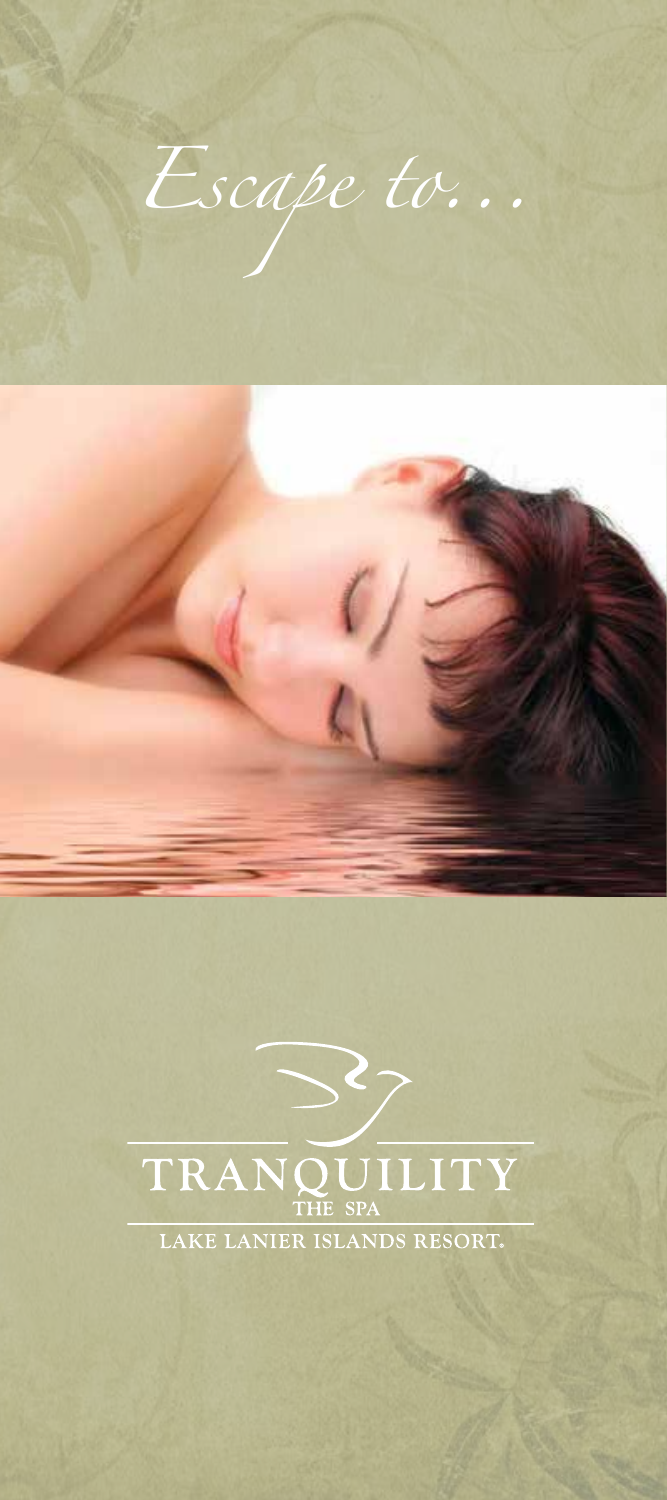



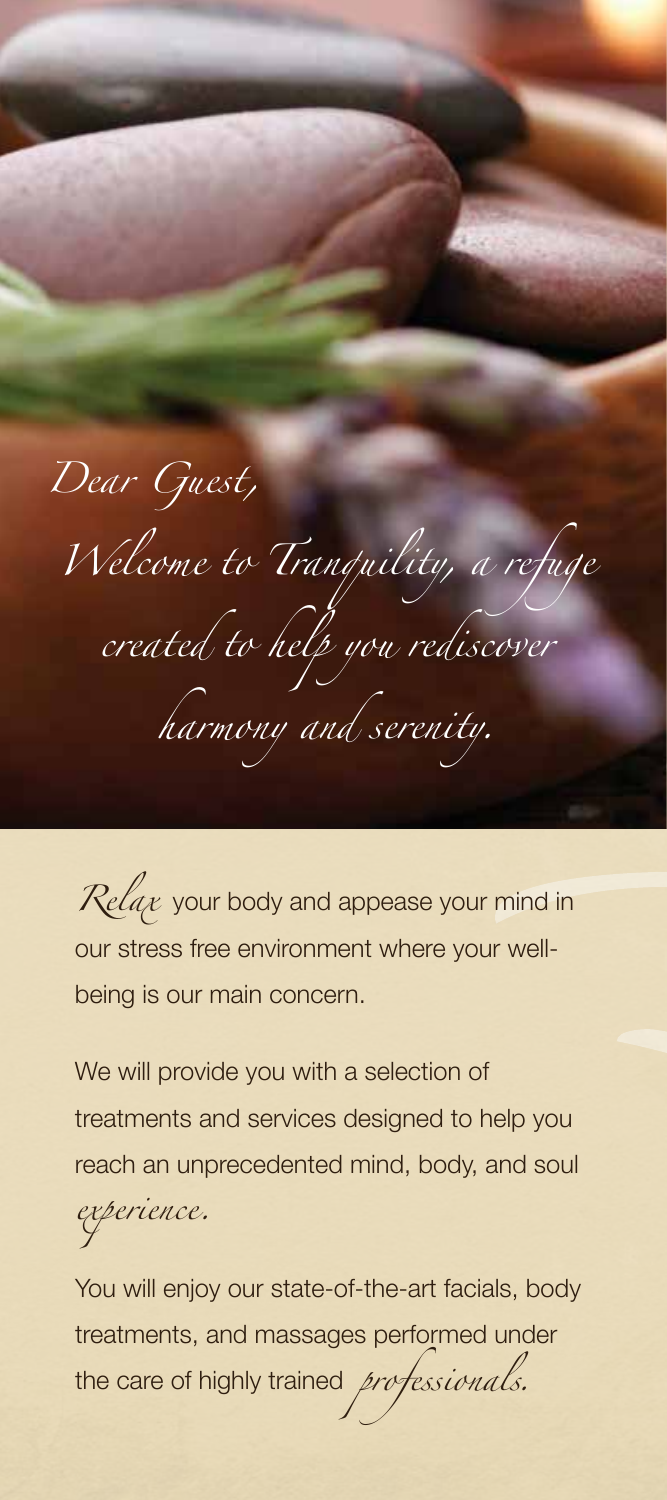*Dear Guest, Welcome to Tranquility, a refuge created to help you rediscover harmony and serenity.*

*Relax* your body and appease your mind in our stress free environment where your wellbeing is our main concern.

We will provide you with a selection of treatments and services designed to help you reach an unprecedented mind, body, and soul

*experience.*

You will enjoy our state-of-the-art facials, body treatments, and massages performed under the care of highly trained *professionals.*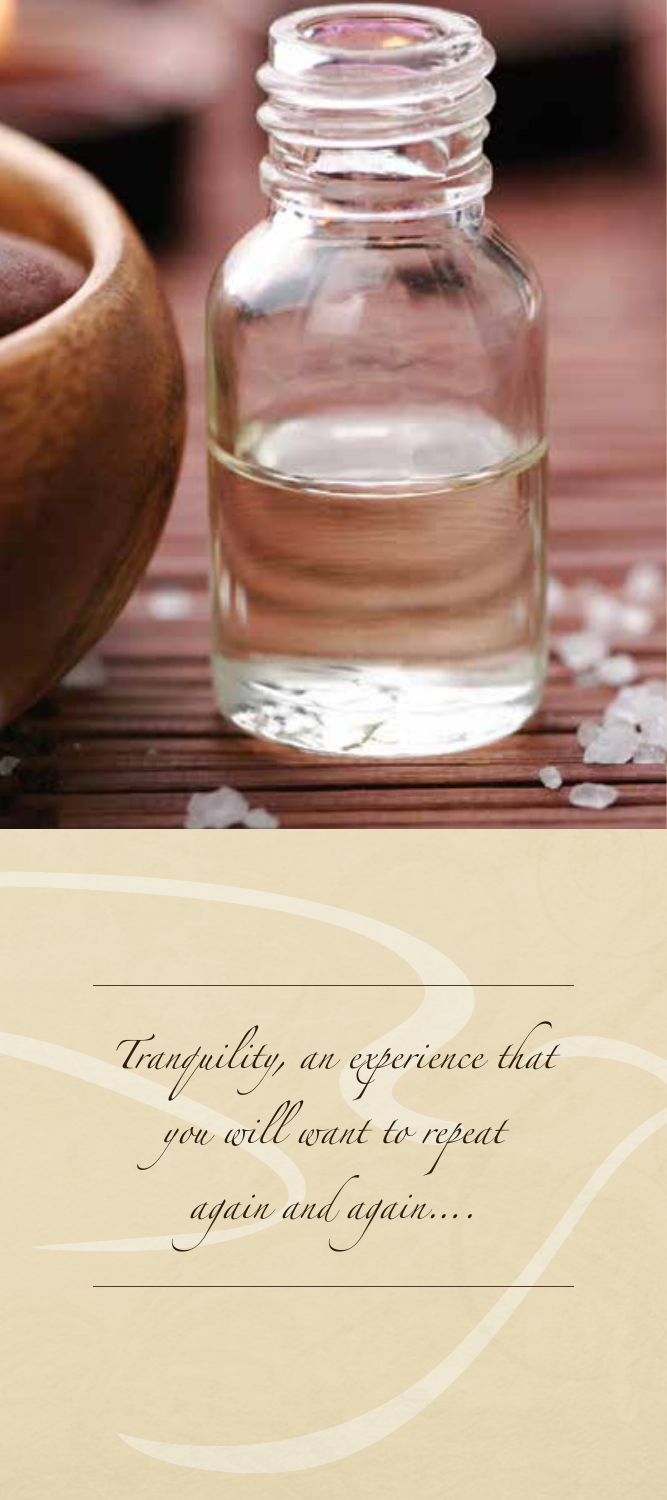

*Tranquility, an experience that* 

*you will want to repeat* 

*again and again….*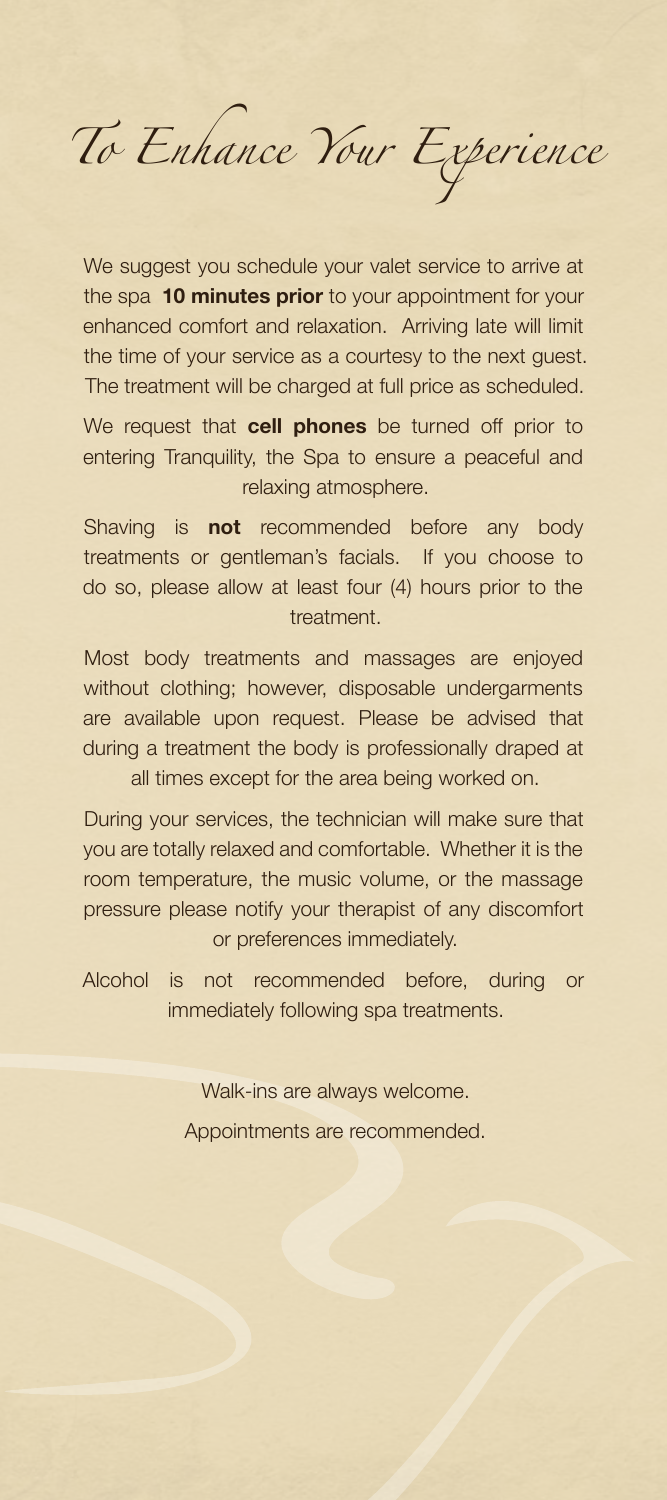*To Enhance Your Experience*

We suggest you schedule your valet service to arrive at the spa **10 minutes prior** to your appointment for your enhanced comfort and relaxation. Arriving late will limit the time of your service as a courtesy to the next guest. The treatment will be charged at full price as scheduled.

We request that **cell phones** be turned off prior to entering Tranquility, the Spa to ensure a peaceful and relaxing atmosphere.

Shaving is **not** recommended before any body treatments or gentleman's facials. If you choose to do so, please allow at least four (4) hours prior to the treatment.

Most body treatments and massages are enjoyed without clothing; however, disposable undergarments are available upon request. Please be advised that during a treatment the body is professionally draped at all times except for the area being worked on.

During your services, the technician will make sure that you are totally relaxed and comfortable. Whether it is the room temperature, the music volume, or the massage pressure please notify your therapist of any discomfort or preferences immediately.

Alcohol is not recommended before, during or immediately following spa treatments.

> Walk-ins are always welcome. Appointments are recommended.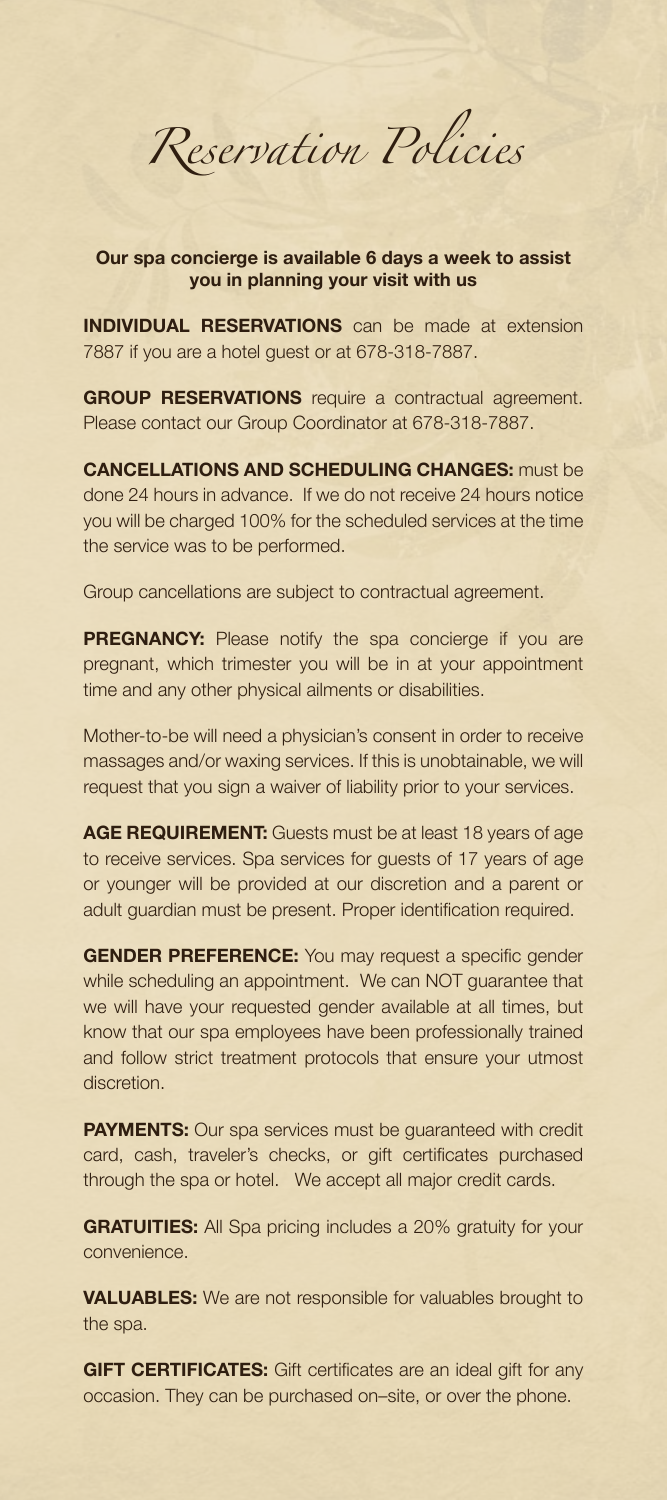*Reservation Policies*

**Our spa concierge is available 6 days a week to assist you in planning your visit with us**

**INDIVIDUAL RESERVATIONS** can be made at extension 7887 if you are a hotel guest or at 678-318-7887.

**GROUP RESERVATIONS** require a contractual agreement. Please contact our Group Coordinator at 678-318-7887.

**CANCELLATIONS AND SCHEDULING CHANGES:** must be done 24 hours in advance. If we do not receive 24 hours notice you will be charged 100% for the scheduled services at the time the service was to be performed.

Group cancellations are subject to contractual agreement.

**PREGNANCY:** Please notify the spa concierge if you are pregnant, which trimester you will be in at your appointment time and any other physical ailments or disabilities.

Mother-to-be will need a physician's consent in order to receive massages and/or waxing services. If this is unobtainable, we will request that you sign a waiver of liability prior to your services.

**AGE REQUIREMENT:** Guests must be at least 18 years of age to receive services. Spa services for guests of 17 years of age or younger will be provided at our discretion and a parent or adult guardian must be present. Proper identification required.

**GENDER PREFERENCE:** You may request a specific gender while scheduling an appointment. We can NOT guarantee that we will have your requested gender available at all times, but know that our spa employees have been professionally trained and follow strict treatment protocols that ensure your utmost discretion.

**PAYMENTS:** Our spa services must be quaranteed with credit card, cash, traveler's checks, or gift certificates purchased through the spa or hotel. We accept all major credit cards.

**GRATUITIES:** All Spa pricing includes a 20% gratuity for your convenience.

**VALUABLES:** We are not responsible for valuables brought to the spa.

**GIFT CERTIFICATES:** Gift certificates are an ideal gift for any occasion. They can be purchased on–site, or over the phone.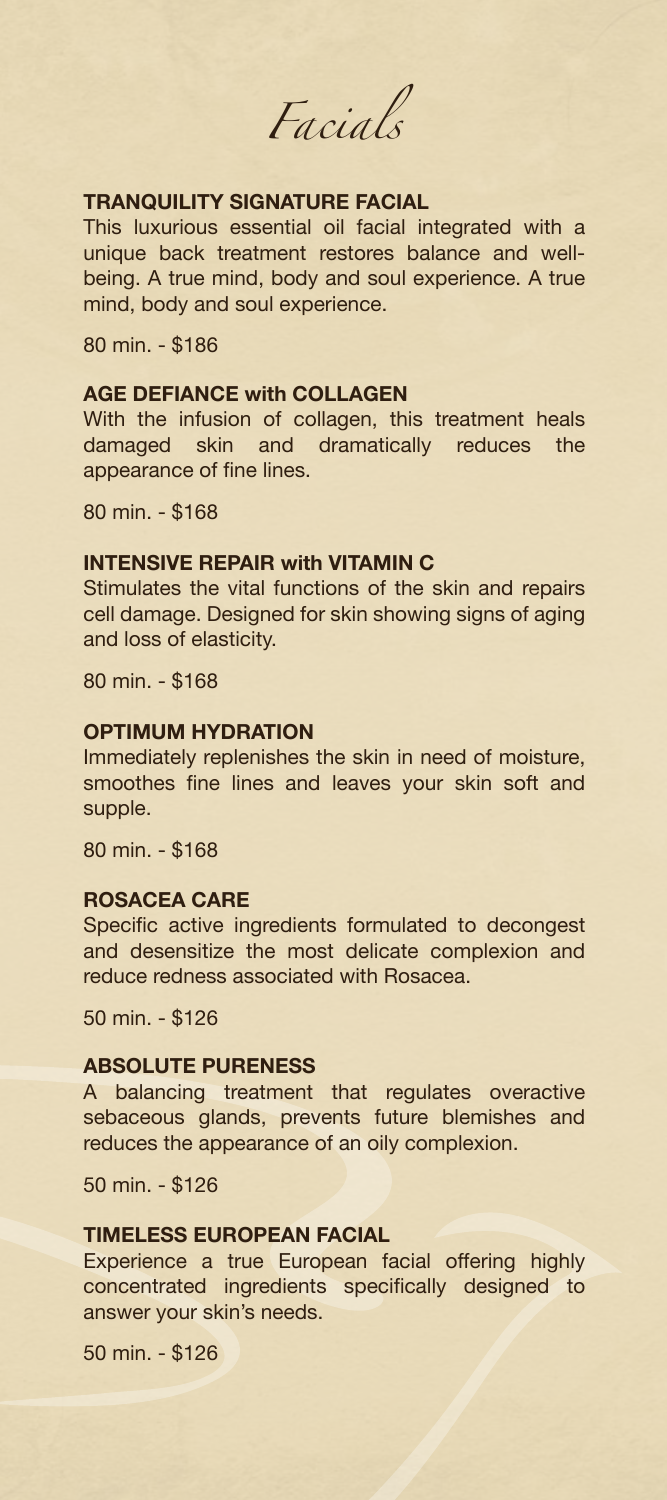*Facials*

# **TRANQUILITY SIGNATURE FACIAL**

This luxurious essential oil facial integrated with a unique back treatment restores balance and wellbeing. A true mind, body and soul experience. A true mind, body and soul experience.

80 min. - \$186

### **AGE DEFIANCE with COLLAGEN**

With the infusion of collagen, this treatment heals damaged skin and dramatically reduces the appearance of fine lines.

80 min. - \$168

# **INTENSIVE REPAIR with VITAMIN C**

Stimulates the vital functions of the skin and repairs cell damage. Designed for skin showing signs of aging and loss of elasticity.

80 min. - \$168

#### **OPTIMUM HYDRATION**

Immediately replenishes the skin in need of moisture, smoothes fine lines and leaves your skin soft and supple.

80 min. - \$168

## **ROSACEA CARE**

Specific active ingredients formulated to decongest and desensitize the most delicate complexion and reduce redness associated with Rosacea.

50 min. - \$126

#### **ABSOLUTE PURENESS**

A balancing treatment that regulates overactive sebaceous glands, prevents future blemishes and reduces the appearance of an oily complexion.

50 min. - \$126

#### **TIMELESS EUROPEAN FACIAL**

Experience a true European facial offering highly concentrated ingredients specifically designed to answer your skin's needs.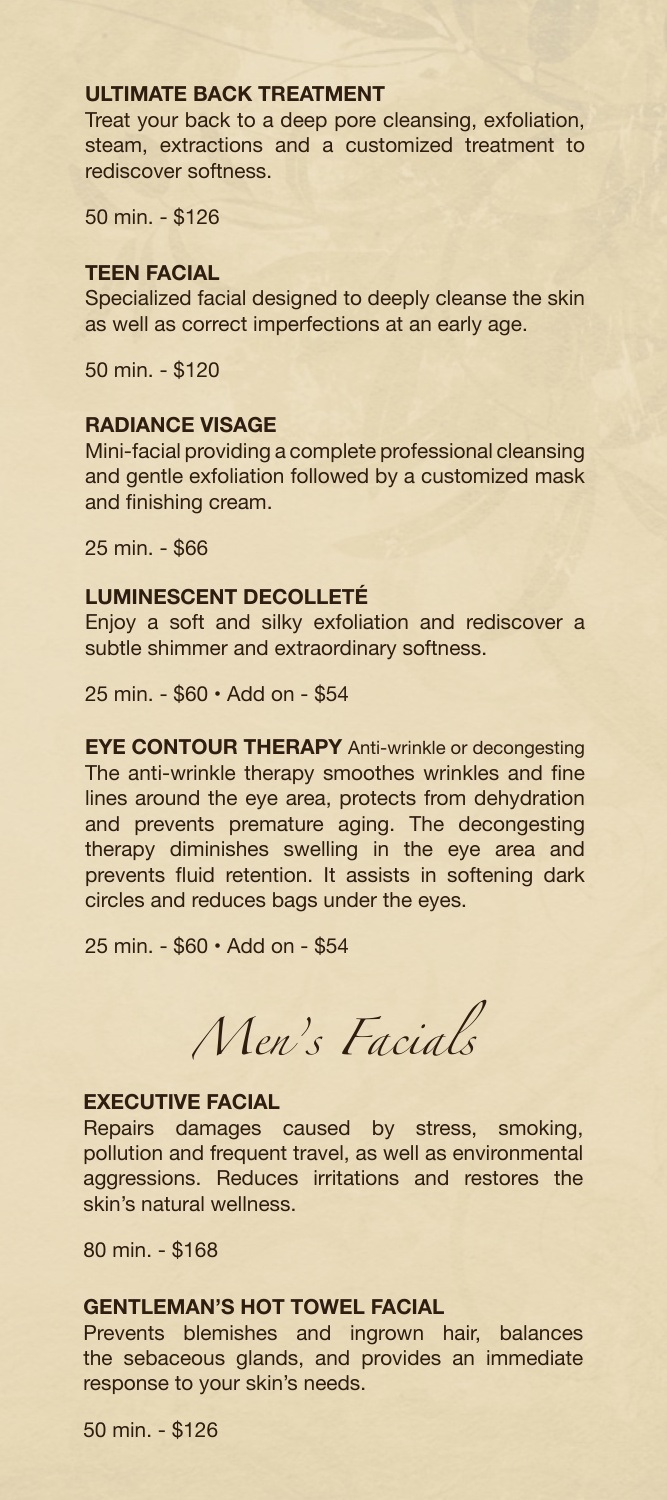# **ULTIMATE BACK TREATMENT**

Treat your back to a deep pore cleansing, exfoliation, steam, extractions and a customized treatment to rediscover softness.

50 min. - \$126

### **TEEN FACIAL**

Specialized facial designed to deeply cleanse the skin as well as correct imperfections at an early age.

50 min. - \$120

# **RADIANCE VISAGE**

Mini-facial providing a complete professional cleansing and gentle exfoliation followed by a customized mask and finishing cream.

25 min. - \$66

# **LUMINESCENT DECOLLETÉ**

Enjoy a soft and silky exfoliation and rediscover a subtle shimmer and extraordinary softness.

25 min. - \$60 • Add on - \$54

**EYE CONTOUR THERAPY** Anti-wrinkle or decongesting The anti-wrinkle therapy smoothes wrinkles and fine lines around the eye area, protects from dehydration and prevents premature aging. The decongesting therapy diminishes swelling in the eye area and prevents fluid retention. It assists in softening dark circles and reduces bags under the eyes.

25 min. - \$60 • Add on - \$54

*Men's Facials*

### **EXECUTIVE FACIAL**

Repairs damages caused by stress, smoking, pollution and frequent travel, as well as environmental aggressions. Reduces irritations and restores the skin's natural wellness.

80 min. - \$168

#### **GENTLEMAN'S HOT TOWEL FACIAL**

Prevents blemishes and ingrown hair, balances the sebaceous glands, and provides an immediate response to your skin's needs.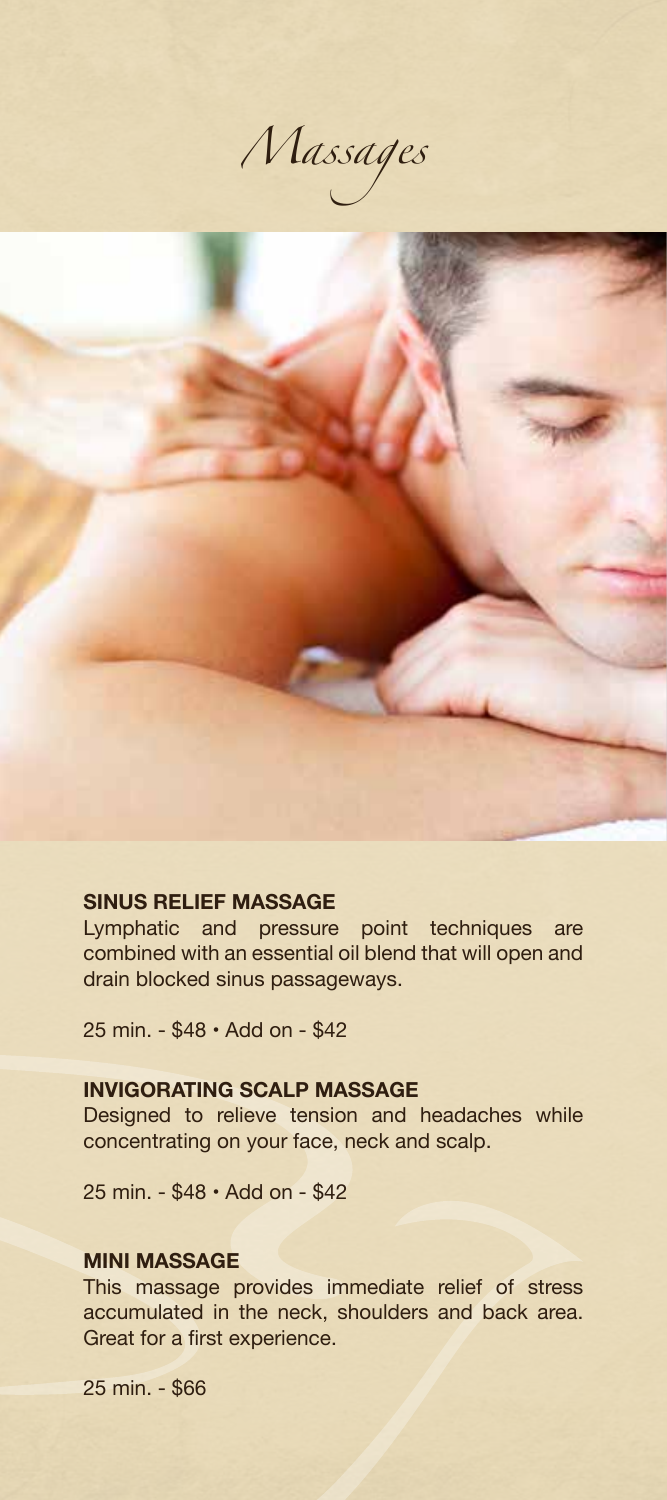*Massages*



#### **SINUS RELIEF MASSAGE**

Lymphatic and pressure point techniques are combined with an essential oil blend that will open and drain blocked sinus passageways.

25 min. - \$48 • Add on - \$42

# **INVIGORATING SCALP MASSAGE**

Designed to relieve tension and headaches while concentrating on your face, neck and scalp.

25 min. - \$48 • Add on - \$42

### **MINI MASSAGE**

This massage provides immediate relief of stress accumulated in the neck, shoulders and back area. Great for a first experience.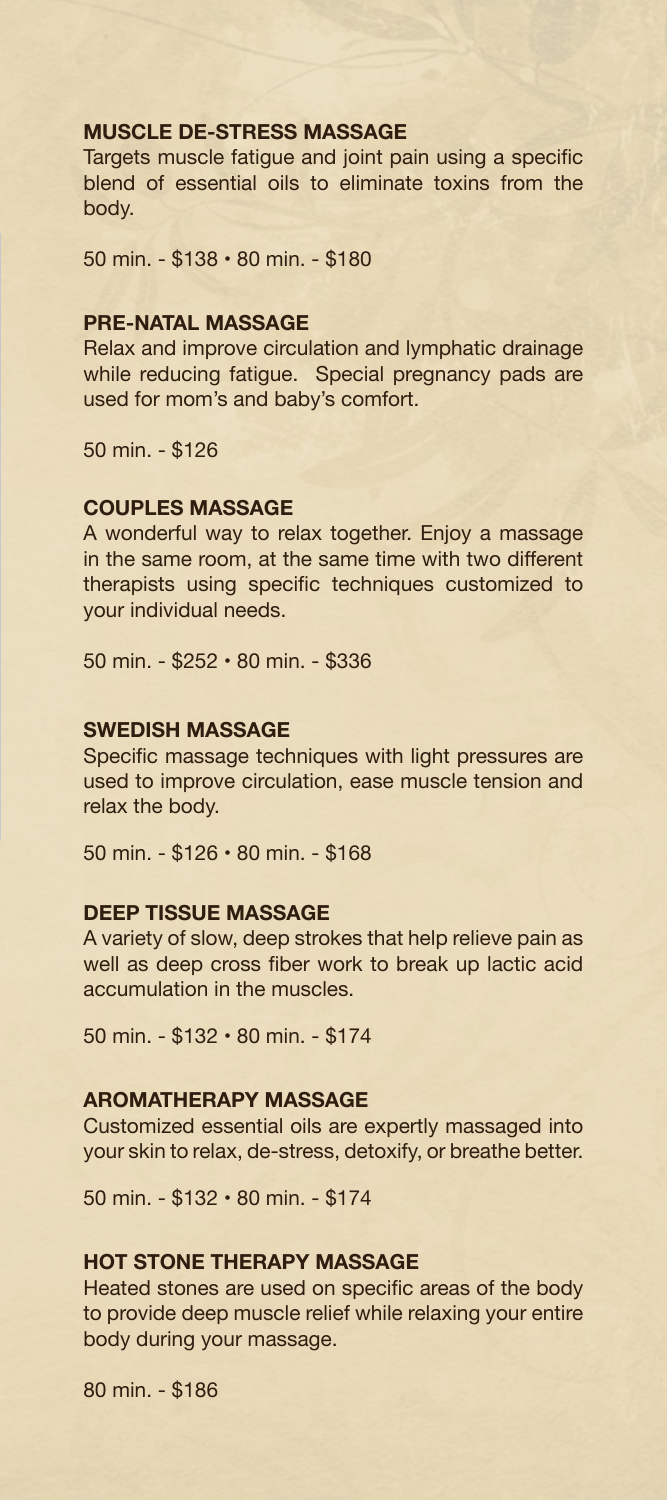## **MUSCLE DE-STRESS MASSAGE**

Targets muscle fatigue and joint pain using a specific blend of essential oils to eliminate toxins from the body.

50 min. - \$138 • 80 min. - \$180

## **PRE-NATAL MASSAGE**

Relax and improve circulation and lymphatic drainage while reducing fatigue. Special pregnancy pads are used for mom's and baby's comfort.

50 min. - \$126

### **COUPLES MASSAGE**

A wonderful way to relax together. Enjoy a massage in the same room, at the same time with two different therapists using specific techniques customized to your individual needs.

50 min. - \$252 • 80 min. - \$336

### **SWEDISH MASSAGE**

Specific massage techniques with light pressures are used to improve circulation, ease muscle tension and relax the body.

50 min. - \$126 • 80 min. - \$168

#### **DEEP TISSUE MASSAGE**

A variety of slow, deep strokes that help relieve pain as well as deep cross fiber work to break up lactic acid accumulation in the muscles.

50 min. - \$132 • 80 min. - \$174

## **AROMATHERAPY MASSAGE**

Customized essential oils are expertly massaged into your skin to relax, de-stress, detoxify, or breathe better.

50 min. - \$132 • 80 min. - \$174

### **HOT STONE THERAPY MASSAGE**

Heated stones are used on specific areas of the body to provide deep muscle relief while relaxing your entire body during your massage.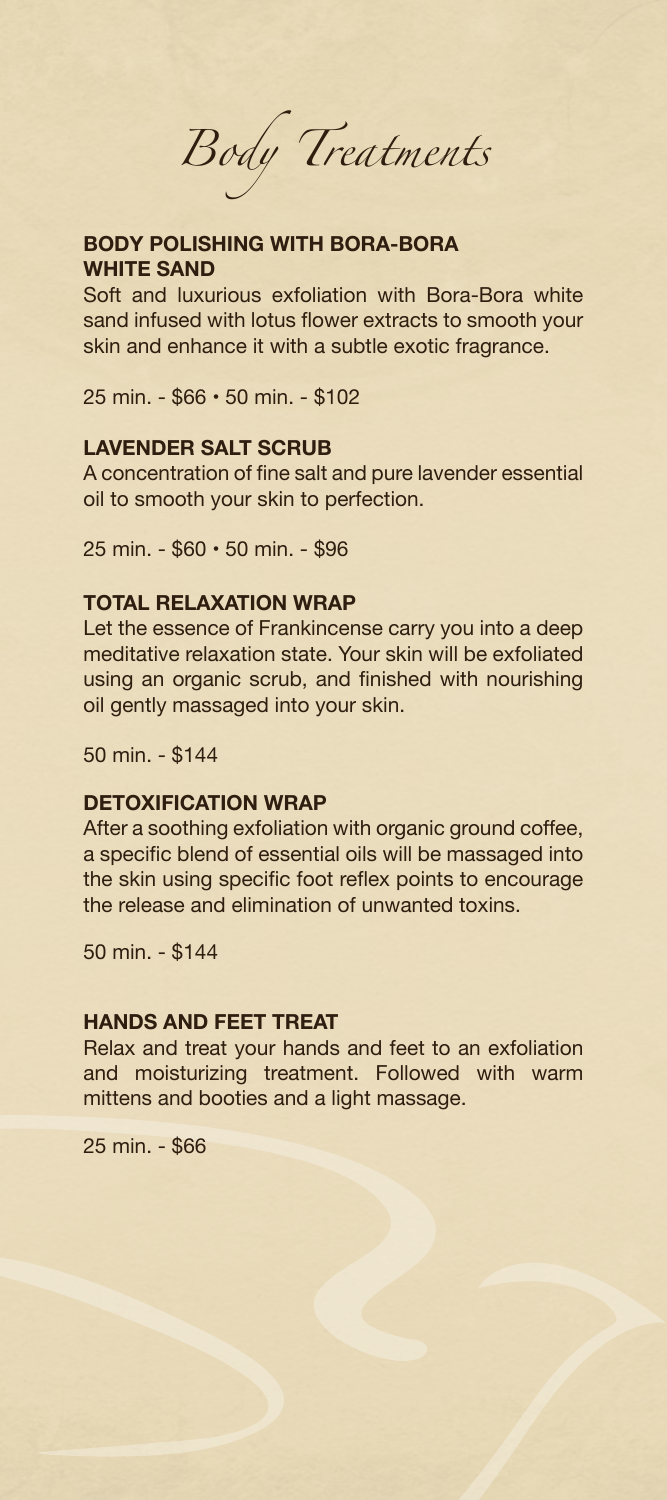*Body Treatments*

# **BODY POLISHING WITH BORA-BORA WHITE SAND**

Soft and luxurious exfoliation with Bora-Bora white sand infused with lotus flower extracts to smooth your skin and enhance it with a subtle exotic fragrance.

25 min. - \$66 • 50 min. - \$102

## **LAVENDER SALT SCRUB**

A concentration of fine salt and pure lavender essential oil to smooth your skin to perfection.

25 min. - \$60 • 50 min. - \$96

### **TOTAL RELAXATION WRAP**

Let the essence of Frankincense carry you into a deep meditative relaxation state. Your skin will be exfoliated using an organic scrub, and finished with nourishing oil gently massaged into your skin.

50 min. - \$144

### **DETOXIFICATION WRAP**

After a soothing exfoliation with organic ground coffee, a specific blend of essential oils will be massaged into the skin using specific foot reflex points to encourage the release and elimination of unwanted toxins.

50 min. - \$144

#### **HANDS AND FEET TREAT**

Relax and treat your hands and feet to an exfoliation and moisturizing treatment. Followed with warm mittens and booties and a light massage.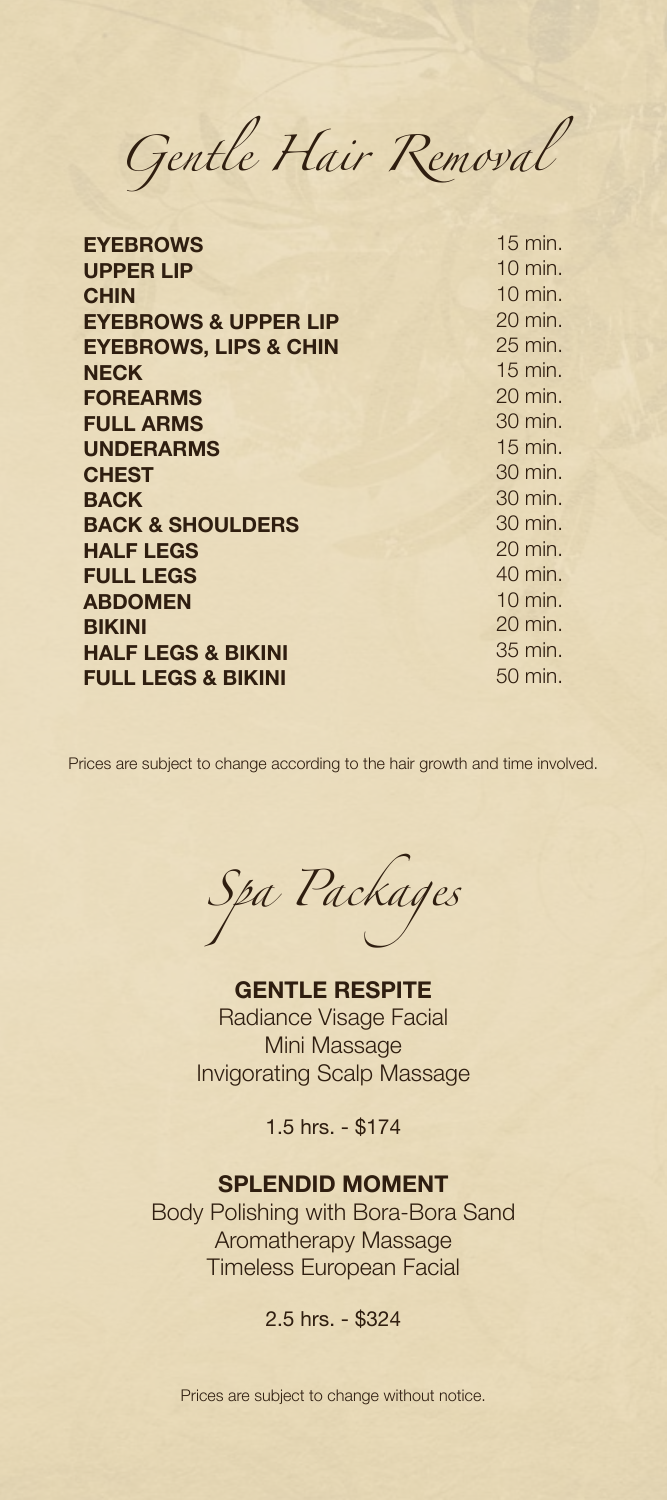*Gentle Hair Removal*

**EYEBROWS UPPER LIP CHIN EYEBROWS & UPPER LIP EYEBROWS, LIPS & CHIN NECK FOREARMS FULL ARMS UNDERARMS CHEST BACK BACK & SHOULDERS HALF LEGS FULL LEGS ABDOMEN BIKINI HALF LEGS & BIKINI FULL LEGS & BIKINI**

15 min. 10 min. 10 min. 20 min. 25 min. 15 min. 20 min. 30 min. 15 min. 30 min. 30 min. 30 min. 20 min. 40 min. 10 min. 20 min. 35 min. 50 min.

Prices are subject to change according to the hair growth and time involved.

*Spa Packages*

**GENTLE RESPITE** Radiance Visage Facial Mini Massage Invigorating Scalp Massage

1.5 hrs. - \$174

# **SPLENDID MOMENT**

Body Polishing with Bora-Bora Sand Aromatherapy Massage Timeless European Facial

2.5 hrs. - \$324

Prices are subject to change without notice.